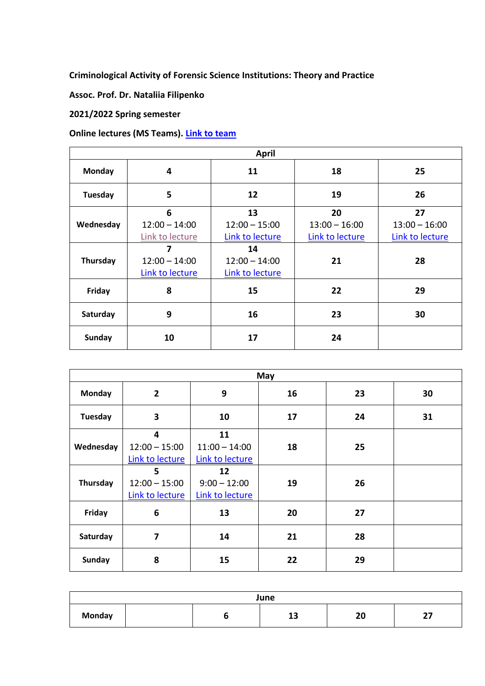**Criminological Activity of Forensic Science Institutions: Theory and Practice**

**Assoc. Prof. Dr. Nataliia Filipenko**

**2021/2022 Spring semester**

## **Online lectures (MS Teams). [Link to team](https://teams.microsoft.com/l/team/19%3a8LTuzwtaSnAlYIXCvEcrbLRN5pAvXC2DKOwdH-aMz701%40thread.tacv2/conversations?groupId=8abc3680-5f92-4c6e-9316-dcfd0250db96&tenantId=82c51a82-548d-43ca-bcf9-bf4b7eb1d012)**

| <b>April</b>        |                 |                 |                 |                 |  |
|---------------------|-----------------|-----------------|-----------------|-----------------|--|
| <b>Monday</b>       | 4               | 11              | 18              | 25              |  |
| Tuesday             | 5               | 12              | 19              | 26              |  |
|                     | 6               | 13              | 20              | 27              |  |
| Wednesday           | $12:00 - 14:00$ | $12:00 - 15:00$ | $13:00 - 16:00$ | $13:00 - 16:00$ |  |
|                     | Link to lecture | Link to lecture | Link to lecture | Link to lecture |  |
|                     | 7               | 14              |                 |                 |  |
| Thursday            | $12:00 - 14:00$ | $12:00 - 14:00$ | 21              | 28              |  |
|                     | Link to lecture | Link to lecture |                 |                 |  |
| Friday              | 8               | 15              | 22              | 29              |  |
| Saturday            | 9               | 16              | 23              | 30              |  |
| <b>Sunday</b><br>10 |                 | 17              | 24              |                 |  |

| May           |                                                               |                                          |    |    |    |
|---------------|---------------------------------------------------------------|------------------------------------------|----|----|----|
| <b>Monday</b> | $\overline{2}$                                                | 9                                        | 16 | 23 | 30 |
| Tuesday       | 3                                                             | 10                                       | 17 | 24 | 31 |
| Wednesday     | $\overline{\mathbf{4}}$<br>$12:00 - 15:00$<br>Link to lecture | 11<br>$11:00 - 14:00$<br>Link to lecture | 18 | 25 |    |
| Thursday      | 5<br>$12:00 - 15:00$<br>Link to lecture                       | 12<br>$9:00 - 12:00$<br>Link to lecture  | 19 | 26 |    |
| Friday        | 6                                                             | 13                                       | 20 | 27 |    |
| Saturday      | $\overline{\mathbf{z}}$                                       | 14                                       | 21 | 28 |    |
| <b>Sunday</b> | 8                                                             | 15                                       | 22 | 29 |    |

| June          |  |  |                            |           |               |
|---------------|--|--|----------------------------|-----------|---------------|
| <b>Monday</b> |  |  | $\ddot{\phantom{1}}$<br>ᆂᇦ | ne.<br>δU | $\sim$<br>. . |